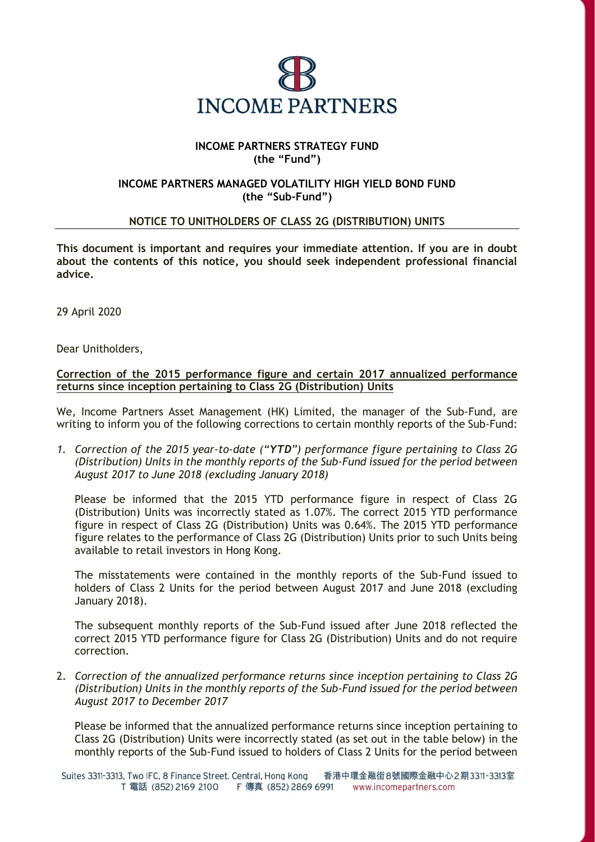

## **INCOME PARTNERS STRATEGY FUND (the "Fund")**

## **INCOME PARTNERS MANAGED VOLATILITY HIGH YIELD BOND FUND (the "Sub-Fund")**

## **NOTICE TO UNITHOLDERS OF CLASS 2G (DISTRIBUTION) UNITS**

**This document is important and requires your immediate attention. If you are in doubt about the contents of this notice, you should seek independent professional financial advice.**

29 April 2020

Dear Unitholders,

## **Correction of the 2015 performance figure and certain 2017 annualized performance returns since inception pertaining to Class 2G (Distribution) Units**

We, Income Partners Asset Management (HK) Limited, the manager of the Sub-Fund, are writing to inform you of the following corrections to certain monthly reports of the Sub-Fund:

*1. Correction of the 2015 year-to-date ("YTD") performance figure pertaining to Class 2G (Distribution) Units in the monthly reports of the Sub-Fund issued for the period between August 2017 to June 2018 (excluding January 2018)* 

Please be informed that the 2015 YTD performance figure in respect of Class 2G (Distribution) Units was incorrectly stated as 1.07%. The correct 2015 YTD performance figure in respect of Class 2G (Distribution) Units was 0.64%. The 2015 YTD performance figure relates to the performance of Class 2G (Distribution) Units prior to such Units being available to retail investors in Hong Kong.

The misstatements were contained in the monthly reports of the Sub-Fund issued to holders of Class 2 Units for the period between August 2017 and June 2018 (excluding January 2018).

The subsequent monthly reports of the Sub-Fund issued after June 2018 reflected the correct 2015 YTD performance figure for Class 2G (Distribution) Units and do not require correction.

2. *Correction of the annualized performance returns since inception pertaining to Class 2G (Distribution) Units in the monthly reports of the Sub-Fund issued for the period between August 2017 to December 2017* 

Please be informed that the annualized performance returns since inception pertaining to Class 2G (Distribution) Units were incorrectly stated (as set out in the table below) in the monthly reports of the Sub-Fund issued to holders of Class 2 Units for the period between